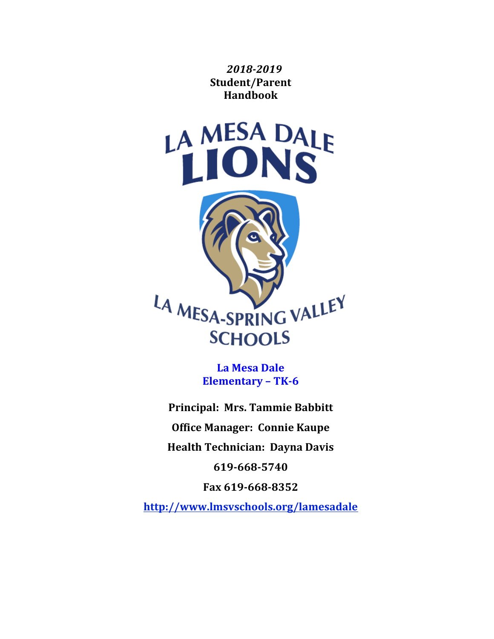*2018-2019* **Student/Parent Handbook**



La Mesa Dale **Elementary – TK-6**

**Principal: Mrs. Tammie Babbitt Office Manager: Connie Kaupe Health Technician: Dayna Davis 619-668-5740**

**Fax 619-668-8352**

**http://www.lmsvschools.org/lamesadale**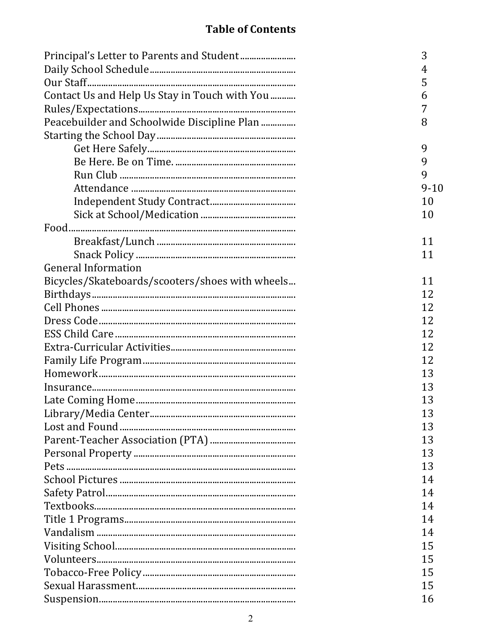# **Table of Contents**

|                                                 | 3        |
|-------------------------------------------------|----------|
|                                                 | 4        |
|                                                 | 5        |
| Contact Us and Help Us Stay in Touch with You   | 6        |
|                                                 | 7        |
| Peacebuilder and Schoolwide Discipline Plan     | 8        |
|                                                 |          |
|                                                 | 9        |
|                                                 | 9        |
|                                                 | 9        |
|                                                 | $9 - 10$ |
|                                                 | 10       |
|                                                 | 10       |
|                                                 |          |
|                                                 | 11       |
|                                                 | 11       |
| <b>General Information</b>                      |          |
| Bicycles/Skateboards/scooters/shoes with wheels | 11       |
|                                                 | 12       |
|                                                 | 12       |
|                                                 | 12       |
|                                                 | 12       |
|                                                 | 12       |
|                                                 | 12       |
|                                                 | 13       |
|                                                 | 13       |
|                                                 | 13       |
|                                                 | 13       |
|                                                 | 13       |
|                                                 | 13       |
|                                                 | 13       |
|                                                 | 13       |
|                                                 | 14       |
|                                                 | 14       |
|                                                 | 14       |
|                                                 | 14       |
|                                                 | 14       |
|                                                 | 15       |
|                                                 | 15       |
|                                                 | 15       |
|                                                 | 15       |
|                                                 | 16       |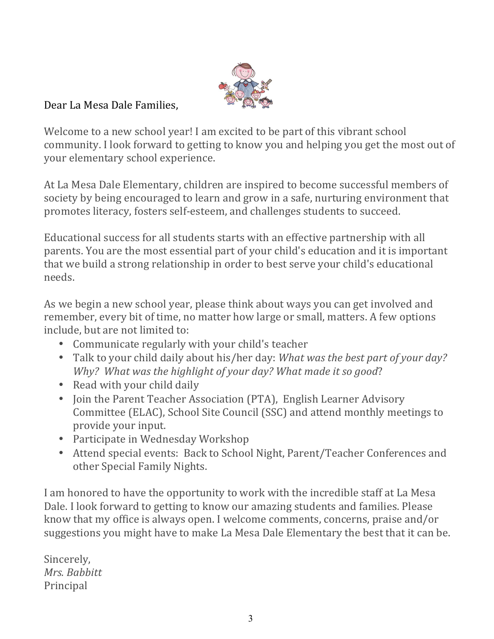

### Dear La Mesa Dale Families.

Welcome to a new school year! I am excited to be part of this vibrant school community. I look forward to getting to know you and helping you get the most out of your elementary school experience.

At La Mesa Dale Elementary, children are inspired to become successful members of society by being encouraged to learn and grow in a safe, nurturing environment that promotes literacy, fosters self-esteem, and challenges students to succeed.

Educational success for all students starts with an effective partnership with all parents. You are the most essential part of your child's education and it is important that we build a strong relationship in order to best serve your child's educational needs.

As we begin a new school year, please think about ways you can get involved and remember, every bit of time, no matter how large or small, matters. A few options include, but are not limited to:

- Communicate regularly with your child's teacher
- Talk to your child daily about his/her day: *What was the best part of your day? Why? What was the highlight of your day? What made it so good?*
- Read with your child daily
- Join the Parent Teacher Association (PTA), English Learner Advisory Committee (ELAC), School Site Council (SSC) and attend monthly meetings to provide your input.
- Participate in Wednesday Workshop
- Attend special events: Back to School Night, Parent/Teacher Conferences and other Special Family Nights.

I am honored to have the opportunity to work with the incredible staff at La Mesa Dale. I look forward to getting to know our amazing students and families. Please know that my office is always open. I welcome comments, concerns, praise and/or suggestions you might have to make La Mesa Dale Elementary the best that it can be.

Sincerely, *Mrs. Babbitt* Principal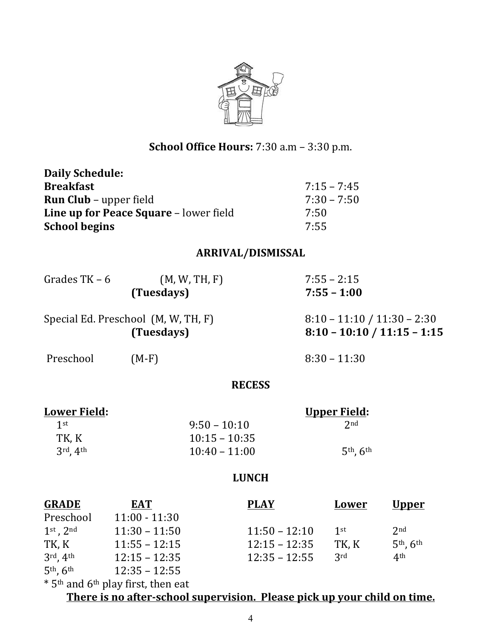

# **School Office Hours:** 7:30 a.m – 3:30 p.m.

| <b>Daily Schedule:</b>                                                  |                                                            |                               |  |                               |                 |  |
|-------------------------------------------------------------------------|------------------------------------------------------------|-------------------------------|--|-------------------------------|-----------------|--|
| <b>Breakfast</b>                                                        |                                                            |                               |  | $7:15 - 7:45$                 |                 |  |
| <b>Run Club</b> - upper field<br>Line up for Peace Square - lower field |                                                            |                               |  | $7:30 - 7:50$<br>7:50         |                 |  |
|                                                                         |                                                            |                               |  |                               |                 |  |
| <b>School begins</b>                                                    |                                                            | 7:55                          |  |                               |                 |  |
|                                                                         |                                                            | <b>ARRIVAL/DISMISSAL</b>      |  |                               |                 |  |
| Grades $TK - 6$                                                         |                                                            | (M, W, TH, F)                 |  | $7:55 - 2:15$                 |                 |  |
|                                                                         |                                                            | $7:55 - 1:00$                 |  |                               |                 |  |
| Special Ed. Preschool (M, W, TH, F)                                     |                                                            | $8:10 - 11:10 / 11:30 - 2:30$ |  |                               |                 |  |
| (Tuesdays)                                                              |                                                            |                               |  | $8:10 - 10:10 / 11:15 - 1:15$ |                 |  |
| Preschool                                                               | $(M-F)$                                                    |                               |  | $8:30 - 11:30$                |                 |  |
|                                                                         |                                                            | <b>RECESS</b>                 |  |                               |                 |  |
| <b>Lower Field:</b>                                                     |                                                            |                               |  | <u>Upper Field:</u>           |                 |  |
| 1 <sup>st</sup>                                                         |                                                            | $9:50 - 10:10$                |  | 2 <sub>nd</sub>               |                 |  |
| TK, K                                                                   |                                                            | $10:15 - 10:35$               |  |                               |                 |  |
| $3^{\text{rd}}$ , $4^{\text{th}}$                                       |                                                            | $10:40 - 11:00$               |  | 5th, 6th                      |                 |  |
|                                                                         |                                                            | <b>LUNCH</b>                  |  |                               |                 |  |
| <b>GRADE</b>                                                            | <b>EAT</b>                                                 | <b>PLAY</b>                   |  | <b>Lower</b>                  | <u>Upper</u>    |  |
| Preschool                                                               | $11:00 - 11:30$                                            |                               |  |                               |                 |  |
| $1st$ , $2nd$                                                           | $11:30 - 11:50$                                            | $11:50 - 12:10$               |  | 1 <sup>st</sup>               | 2 <sub>nd</sub> |  |
| TK, K                                                                   | $11:55 - 12:15$                                            | $12:15 - 12:35$               |  | TK, K                         | $5th$ , $6th$   |  |
| $3rd$ , $4th$                                                           | $12:15 - 12:35$                                            | $12:35 - 12:55$               |  | 3rd                           | 4 <sup>th</sup> |  |
| $5th$ , $6th$                                                           | $12:35 - 12:55$                                            |                               |  |                               |                 |  |
|                                                                         | * 5 <sup>th</sup> and 6 <sup>th</sup> play first, then eat |                               |  |                               |                 |  |

There is no after-school supervision. Please pick up your child on time.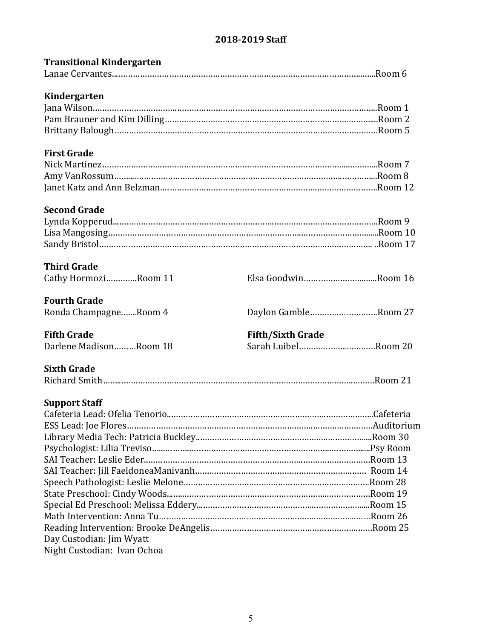### **2018-2019 Staff**

| <b>Transitional Kindergarten</b> |                          |  |
|----------------------------------|--------------------------|--|
|                                  |                          |  |
| Kindergarten                     |                          |  |
|                                  |                          |  |
|                                  |                          |  |
|                                  |                          |  |
| <b>First Grade</b>               |                          |  |
|                                  |                          |  |
|                                  |                          |  |
|                                  |                          |  |
| <b>Second Grade</b>              |                          |  |
|                                  |                          |  |
|                                  |                          |  |
|                                  |                          |  |
| <b>Third Grade</b>               |                          |  |
| Cathy HormoziRoom 11             | Elsa GoodwinRoom 16      |  |
| <b>Fourth Grade</b>              |                          |  |
| Ronda ChampagneRoom 4            | Daylon GambleRoom 27     |  |
| <b>Fifth Grade</b>               | <b>Fifth/Sixth Grade</b> |  |
| Darlene MadisonRoom 18           | Sarah LuibelRoom 20      |  |
| <b>Sixth Grade</b>               |                          |  |
|                                  |                          |  |
| <b>Support Staff</b>             |                          |  |
|                                  |                          |  |
|                                  |                          |  |
|                                  |                          |  |
|                                  |                          |  |
|                                  |                          |  |
|                                  |                          |  |
|                                  |                          |  |
|                                  |                          |  |
|                                  |                          |  |
|                                  |                          |  |
|                                  |                          |  |
| Day Custodian: Jim Wyatt         |                          |  |
| Night Custodian: Ivan Ochoa      |                          |  |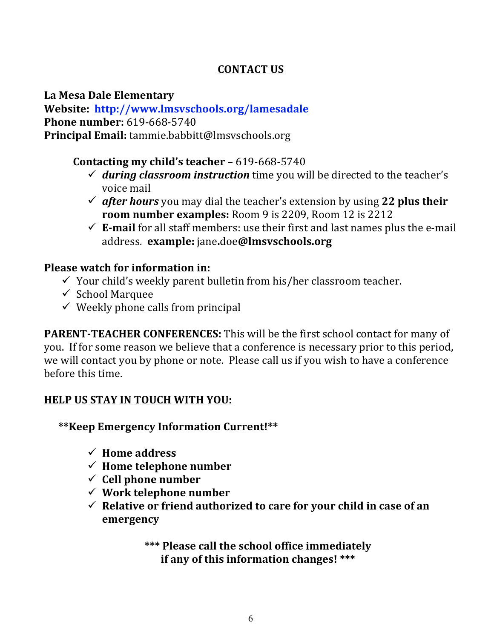## **CONTACT US**

**La Mesa Dale Elementary**

**Website: http://www.lmsvschools.org/lamesadale Phone number: 619-668-5740 Principal Email:** tammie.babbitt@lmsvschools.org

## **Contacting my child's teacher** – 619-668-5740

- $\checkmark$  during classroom instruction time you will be directed to the teacher's voice mail
- $\checkmark$  after hours you may dial the teacher's extension by using 22 plus their **room number examples:** Room 9 is 2209, Room 12 is 2212
- $\checkmark$  **E-mail** for all staff members: use their first and last names plus the e-mail address. **example:** jane**.**doe**@lmsvschools.org**

### **Please watch for information in:**

- $\checkmark$  Your child's weekly parent bulletin from his/her classroom teacher.
- $\checkmark$  School Marquee
- $\checkmark$  Weekly phone calls from principal

**PARENT-TEACHER CONFERENCES:** This will be the first school contact for many of you. If for some reason we believe that a conference is necessary prior to this period, we will contact you by phone or note. Please call us if you wish to have a conference before this time.

### **HELP US STAY IN TOUCH WITH YOU:**

**\*\*Keep Emergency Information Current!\*\***

- $\checkmark$  Home address
- $\checkmark$  Home telephone number
- $\checkmark$  Cell phone number
- $\checkmark$  Work telephone number
- $\checkmark$  Relative or friend authorized to care for your child in case of an **emergency**

\*\*\* Please call the school office immediately **if any of this information changes!** \*\*\*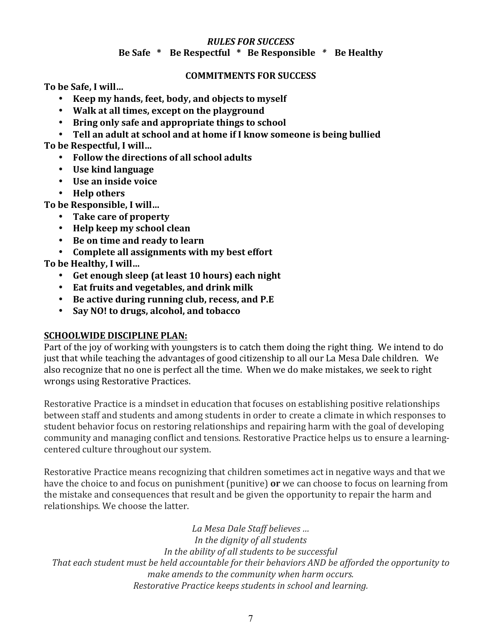#### *RULES FOR SUCCESS* **Be Safe \* Be Respectful** **\* Be Responsible** *\** **Be Healthy**

#### **COMMITMENTS FOR SUCCESS**

**To be Safe, I will…**

- **Keep my hands, feet, body, and objects to myself**
- Walk at all times, except on the playground
- Bring only safe and appropriate things to school
- Tell an adult at school and at home if I know someone is being bullied

To be Respectful, I will...

- Follow the directions of all school adults
- **Use kind language**
- **Use an inside voice**
- **Help others**

To be Responsible, I will...

- **Take care of property**
- **Help keep my school clean**
- Be on time and ready to learn
- Complete all assignments with my best effort

To be Healthy, I will...

- Get enough sleep (at least 10 hours) each night
- **Eat fruits and vegetables, and drink milk**
- Be active during running club, recess, and P.E
- **Say NO! to drugs, alcohol, and tobacco**

#### **SCHOOLWIDE DISCIPLINE PLAN:**

Part of the joy of working with youngsters is to catch them doing the right thing. We intend to do just that while teaching the advantages of good citizenship to all our La Mesa Dale children. We also recognize that no one is perfect all the time. When we do make mistakes, we seek to right wrongs using Restorative Practices.

Restorative Practice is a mindset in education that focuses on establishing positive relationships between staff and students and among students in order to create a climate in which responses to student behavior focus on restoring relationships and repairing harm with the goal of developing community and managing conflict and tensions. Restorative Practice helps us to ensure a learningcentered culture throughout our system.

Restorative Practice means recognizing that children sometimes act in negative ways and that we have the choice to and focus on punishment (punitive) **or** we can choose to focus on learning from the mistake and consequences that result and be given the opportunity to repair the harm and relationships. We choose the latter.

*La Mesa Dale Staff believes … In the dignity of all students* In the ability of all students to be successful That each student must be held accountable for their behaviors AND be afforded the opportunity to make amends to the community when harm occurs. *Restorative Practice keeps students in school and learning.*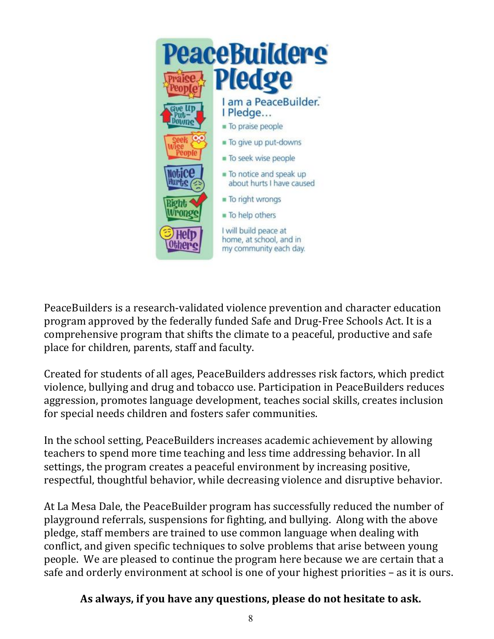

PeaceBuilders is a research-validated violence prevention and character education program approved by the federally funded Safe and Drug-Free Schools Act. It is a comprehensive program that shifts the climate to a peaceful, productive and safe place for children, parents, staff and faculty.

Created for students of all ages, PeaceBuilders addresses risk factors, which predict violence, bullying and drug and tobacco use. Participation in PeaceBuilders reduces aggression, promotes language development, teaches social skills, creates inclusion for special needs children and fosters safer communities.

In the school setting, PeaceBuilders increases academic achievement by allowing teachers to spend more time teaching and less time addressing behavior. In all settings, the program creates a peaceful environment by increasing positive, respectful, thoughtful behavior, while decreasing violence and disruptive behavior.

At La Mesa Dale, the PeaceBuilder program has successfully reduced the number of playground referrals, suspensions for fighting, and bullying. Along with the above pledge, staff members are trained to use common language when dealing with conflict, and given specific techniques to solve problems that arise between young people. We are pleased to continue the program here because we are certain that a safe and orderly environment at school is one of your highest priorities – as it is ours.

### As always, if you have any questions, please do not hesitate to ask.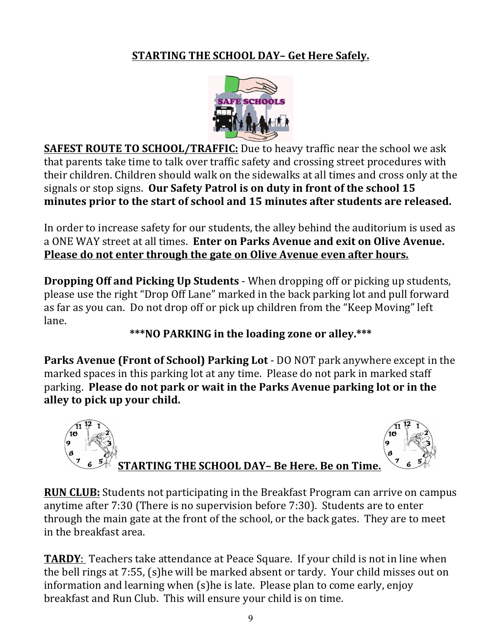# **STARTING THE SCHOOL DAY- Get Here Safely.**



**SAFEST ROUTE TO SCHOOL/TRAFFIC:** Due to heavy traffic near the school we ask that parents take time to talk over traffic safety and crossing street procedures with their children. Children should walk on the sidewalks at all times and cross only at the signals or stop signs. Our Safety Patrol is on duty in front of the school 15 minutes prior to the start of school and 15 minutes after students are released.

In order to increase safety for our students, the alley behind the auditorium is used as a ONE WAY street at all times. **Enter on Parks Avenue and exit on Olive Avenue. Please do not enter through the gate on Olive Avenue even after hours.** 

**Dropping Off and Picking Up Students** - When dropping off or picking up students, please use the right "Drop Off Lane" marked in the back parking lot and pull forward as far as you can. Do not drop off or pick up children from the "Keep Moving" left lane. 

# \*\*\*NO PARKING in the loading zone or alley.\*\*\*

**Parks Avenue (Front of School) Parking Lot** - DO NOT park anywhere except in the marked spaces in this parking lot at any time. Please do not park in marked staff parking. Please do not park or wait in the Parks Avenue parking lot or in the alley to pick up your child.



**RUN CLUB:** Students not participating in the Breakfast Program can arrive on campus anytime after  $7:30$  (There is no supervision before  $7:30$ ). Students are to enter through the main gate at the front of the school, or the back gates. They are to meet in the breakfast area.

**TARDY**: Teachers take attendance at Peace Square. If your child is not in line when the bell rings at  $7:55$ ,  $(s)$ he will be marked absent or tardy. Your child misses out on information and learning when (s)he is late. Please plan to come early, enjoy breakfast and Run Club. This will ensure your child is on time.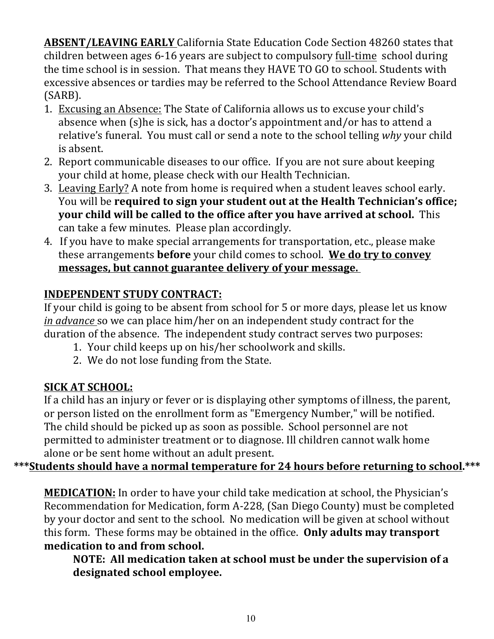**ABSENT/LEAVING EARLY** California State Education Code Section 48260 states that children between ages 6-16 years are subject to compulsory full-time school during the time school is in session. That means they HAVE TO GO to school. Students with excessive absences or tardies may be referred to the School Attendance Review Board (SARB). 

- 1. Excusing an Absence: The State of California allows us to excuse your child's absence when (s)he is sick, has a doctor's appointment and/or has to attend a relative's funeral. You must call or send a note to the school telling why your child is absent.
- 2. Report communicable diseases to our office. If you are not sure about keeping your child at home, please check with our Health Technician.
- 3. Leaving Early? A note from home is required when a student leaves school early. You will be **required to sign your student out at the Health Technician's office; your child will be called to the office after you have arrived at school.** This can take a few minutes. Please plan accordingly.
- 4. If you have to make special arrangements for transportation, etc., please make these arrangements **before** your child comes to school. We do try to convey messages, but cannot guarantee delivery of your message.

# **INDEPENDENT STUDY CONTRACT:**

If your child is going to be absent from school for 5 or more days, please let us know *in advance* so we can place him/her on an independent study contract for the duration of the absence. The independent study contract serves two purposes:

- 1. Your child keeps up on his/her schoolwork and skills.
- 2. We do not lose funding from the State.

# **SICK AT SCHOOL:**

If a child has an injury or fever or is displaying other symptoms of illness, the parent, or person listed on the enrollment form as "Emergency Number," will be notified. The child should be picked up as soon as possible. School personnel are not permitted to administer treatment or to diagnose. Ill children cannot walk home alone or be sent home without an adult present.

# \*\*\*Students should have a normal temperature for 24 hours before returning to school.\*\*\*

**MEDICATION:** In order to have your child take medication at school, the Physician's Recommendation for Medication, form A-228, (San Diego County) must be completed by your doctor and sent to the school. No medication will be given at school without this form. These forms may be obtained in the office. **Only adults may transport medication to and from school.** 

**NOTE:** All medication taken at school must be under the supervision of a **designated school employee.**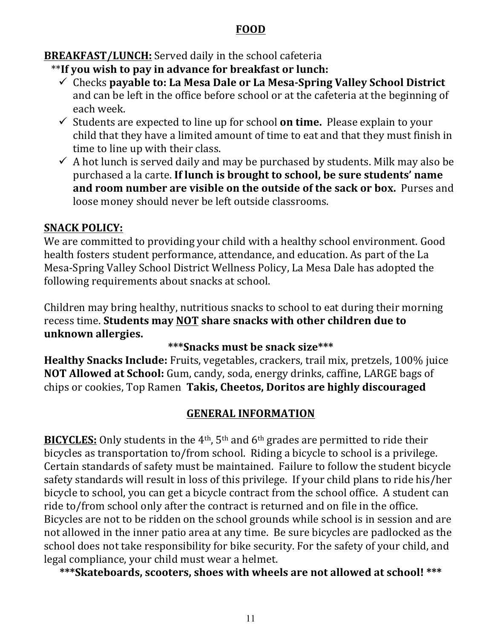### **FOOD**

**BREAKFAST/LUNCH:** Served daily in the school cafeteria

- \*\*If you wish to pay in advance for breakfast or lunch:
	- $\checkmark$  Checks payable to: La Mesa Dale or La Mesa-Spring Valley School District and can be left in the office before school or at the cafeteria at the beginning of each week.
	- $\checkmark$  Students are expected to line up for school **on time.** Please explain to your child that they have a limited amount of time to eat and that they must finish in time to line up with their class.
	- $\checkmark$  A hot lunch is served daily and may be purchased by students. Milk may also be purchased a la carte. If lunch is brought to school, be sure students' name **and room number are visible on the outside of the sack or box.** Purses and loose money should never be left outside classrooms.

# **SNACK POLICY:**

We are committed to providing your child with a healthy school environment. Good health fosters student performance, attendance, and education. As part of the La Mesa-Spring Valley School District Wellness Policy, La Mesa Dale has adopted the following requirements about snacks at school.

Children may bring healthy, nutritious snacks to school to eat during their morning recess time. Students may **NOT** share snacks with other children due to **unknown allergies.**

## **\*\*\*Snacks must be snack size\*\*\***

**Healthy Snacks Include:** Fruits, vegetables, crackers, trail mix, pretzels, 100% juice **NOT Allowed at School:** Gum, candy, soda, energy drinks, caffine, LARGE bags of chips or cookies, Top Ramen **Takis, Cheetos, Doritos are highly discouraged**

## **GENERAL INFORMATION**

**BICYCLES:** Only students in the  $4<sup>th</sup>$ ,  $5<sup>th</sup>$  and  $6<sup>th</sup>$  grades are permitted to ride their bicycles as transportation to/from school. Riding a bicycle to school is a privilege. Certain standards of safety must be maintained. Failure to follow the student bicycle safety standards will result in loss of this privilege. If your child plans to ride his/her bicycle to school, you can get a bicycle contract from the school office. A student can ride to/from school only after the contract is returned and on file in the office. Bicycles are not to be ridden on the school grounds while school is in session and are not allowed in the inner patio area at any time. Be sure bicycles are padlocked as the school does not take responsibility for bike security. For the safety of your child, and legal compliance, your child must wear a helmet.

\*\*\*Skateboards, scooters, shoes with wheels are not allowed at school! \*\*\*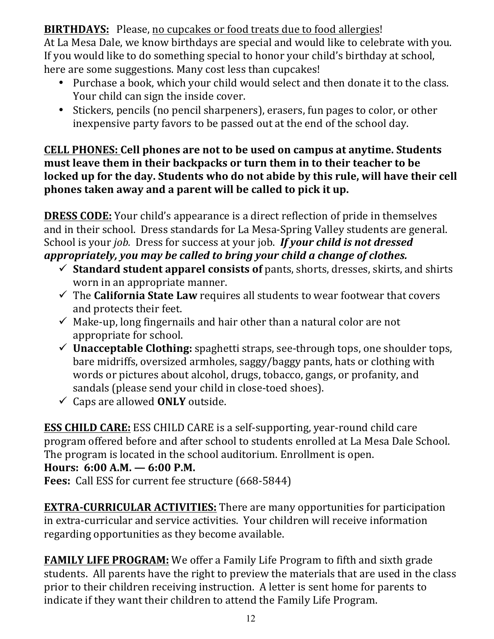**BIRTHDAYS:** Please, no cupcakes or food treats due to food allergies!

At La Mesa Dale, we know birthdays are special and would like to celebrate with you. If you would like to do something special to honor your child's birthday at school, here are some suggestions. Many cost less than cupcakes!

- Purchase a book, which your child would select and then donate it to the class. Your child can sign the inside cover.
- Stickers, pencils (no pencil sharpeners), erasers, fun pages to color, or other inexpensive party favors to be passed out at the end of the school day.

### **CELL PHONES: Cell phones are not to be used on campus at anytime. Students** must leave them in their backpacks or turn them in to their teacher to be **locked up for the day. Students who do not abide by this rule, will have their cell** phones taken away and a parent will be called to pick it up.

**DRESS CODE:** Your child's appearance is a direct reflection of pride in themselves and in their school. Dress standards for La Mesa-Spring Valley students are general. School is your *job.* Dress for success at your job. If your child is not dressed appropriately, you may be called to bring your child a change of clothes.

- $\checkmark$  Standard student apparel consists of pants, shorts, dresses, skirts, and shirts worn in an appropriate manner.
- $\checkmark$  The **California State Law** requires all students to wear footwear that covers and protects their feet.
- $\checkmark$  Make-up, long fingernails and hair other than a natural color are not appropriate for school.
- $\checkmark$  **Unacceptable Clothing:** spaghetti straps, see-through tops, one shoulder tops, bare midriffs, oversized armholes, saggy/baggy pants, hats or clothing with words or pictures about alcohol, drugs, tobacco, gangs, or profanity, and sandals (please send your child in close-toed shoes).
- $\checkmark$  Caps are allowed **ONLY** outside.

**ESS CHILD CARE:** ESS CHILD CARE is a self-supporting, year-round child care program offered before and after school to students enrolled at La Mesa Dale School. The program is located in the school auditorium. Enrollment is open. **Hours:** 6:00 A.M. — 6:00 P.M.

**Fees:** Call ESS for current fee structure (668-5844)

**EXTRA-CURRICULAR ACTIVITIES:** There are many opportunities for participation in extra-curricular and service activities. Your children will receive information regarding opportunities as they become available.

**FAMILY LIFE PROGRAM:** We offer a Family Life Program to fifth and sixth grade students. All parents have the right to preview the materials that are used in the class prior to their children receiving instruction. A letter is sent home for parents to indicate if they want their children to attend the Family Life Program.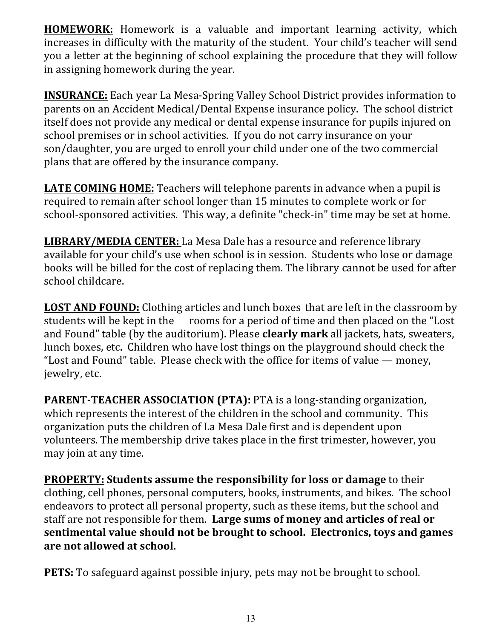**HOMEWORK:** Homework is a valuable and important learning activity, which increases in difficulty with the maturity of the student. Your child's teacher will send you a letter at the beginning of school explaining the procedure that they will follow in assigning homework during the year.

**INSURANCE:** Each year La Mesa-Spring Valley School District provides information to parents on an Accident Medical/Dental Expense insurance policy. The school district itself does not provide any medical or dental expense insurance for pupils injured on school premises or in school activities. If you do not carry insurance on your son/daughter, you are urged to enroll your child under one of the two commercial plans that are offered by the insurance company.

**LATE COMING HOME:** Teachers will telephone parents in advance when a pupil is required to remain after school longer than 15 minutes to complete work or for school-sponsored activities. This way, a definite "check-in" time may be set at home.

**LIBRARY/MEDIA CENTER:** La Mesa Dale has a resource and reference library available for your child's use when school is in session. Students who lose or damage books will be billed for the cost of replacing them. The library cannot be used for after school childcare.

**LOST AND FOUND:** Clothing articles and lunch boxes that are left in the classroom by students will be kept in the rooms for a period of time and then placed on the "Lost" and Found" table (by the auditorium). Please **clearly mark** all jackets, hats, sweaters, lunch boxes, etc. Children who have lost things on the playground should check the "Lost and Found" table. Please check with the office for items of value — money, jewelry, etc.

**PARENT-TEACHER ASSOCIATION (PTA):** PTA is a long-standing organization, which represents the interest of the children in the school and community. This organization puts the children of La Mesa Dale first and is dependent upon volunteers. The membership drive takes place in the first trimester, however, you may join at any time.

**PROPERTY: Students assume the responsibility for loss or damage** to their clothing, cell phones, personal computers, books, instruments, and bikes. The school endeavors to protect all personal property, such as these items, but the school and staff are not responsible for them. Large sums of money and articles of real or **sentimental value should not be brought to school. Electronics, toys and games** are not allowed at school.

**PETS:** To safeguard against possible injury, pets may not be brought to school.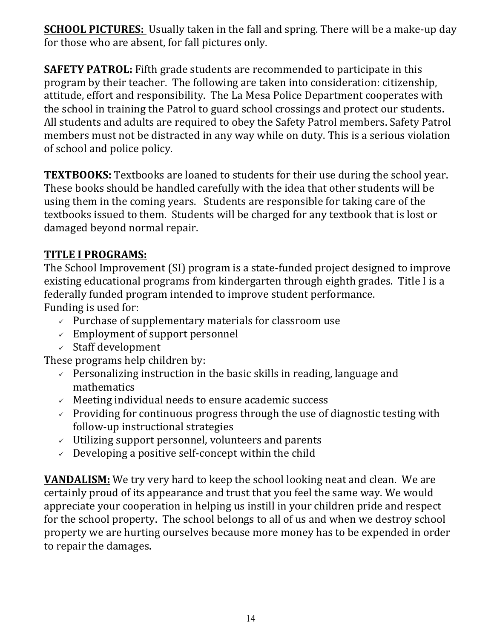**SCHOOL PICTURES:** Usually taken in the fall and spring. There will be a make-up day for those who are absent, for fall pictures only.

**SAFETY PATROL:** Fifth grade students are recommended to participate in this program by their teacher. The following are taken into consideration: citizenship, attitude, effort and responsibility. The La Mesa Police Department cooperates with the school in training the Patrol to guard school crossings and protect our students. All students and adults are required to obey the Safety Patrol members. Safety Patrol members must not be distracted in any way while on duty. This is a serious violation of school and police policy.

**TEXTBOOKS:** Textbooks are loaned to students for their use during the school year. These books should be handled carefully with the idea that other students will be using them in the coming years. Students are responsible for taking care of the textbooks issued to them. Students will be charged for any textbook that is lost or damaged beyond normal repair.

## **TITLE I PROGRAMS:**

The School Improvement (SI) program is a state-funded project designed to improve existing educational programs from kindergarten through eighth grades. Title I is a federally funded program intended to improve student performance. Funding is used for:

- $\vee$  Purchase of supplementary materials for classroom use
- $\angle$  Employment of support personnel
- $\checkmark$  Staff development

These programs help children by:

- $\vee$  Personalizing instruction in the basic skills in reading, language and mathematics
- $\checkmark$  Meeting individual needs to ensure academic success
- $\checkmark$  Providing for continuous progress through the use of diagnostic testing with follow-up instructional strategies
- $\checkmark$  Utilizing support personnel, volunteers and parents
- $\vee$  Developing a positive self-concept within the child

**VANDALISM:** We try very hard to keep the school looking neat and clean. We are certainly proud of its appearance and trust that you feel the same way. We would appreciate your cooperation in helping us instill in your children pride and respect for the school property. The school belongs to all of us and when we destroy school property we are hurting ourselves because more money has to be expended in order to repair the damages.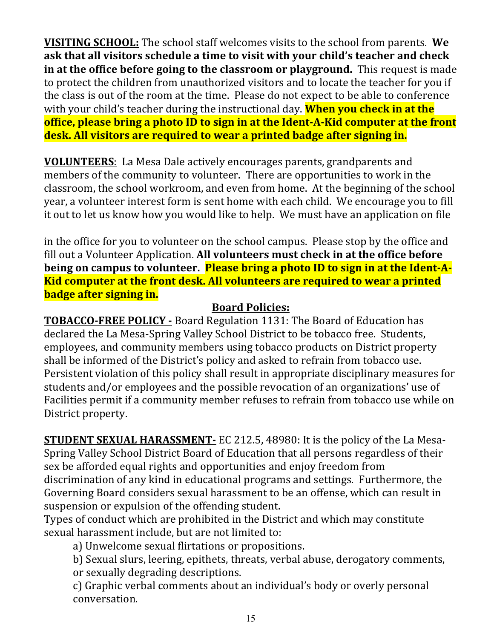**VISITING SCHOOL:** The school staff welcomes visits to the school from parents. We ask that all visitors schedule a time to visit with your child's teacher and check **in at the office before going to the classroom or playground.** This request is made to protect the children from unauthorized visitors and to locate the teacher for you if the class is out of the room at the time. Please do not expect to be able to conference with your child's teacher during the instructional day. **When you check in at the office, please bring a photo ID to sign in at the Ident-A-Kid computer at the front desk.** All visitors are required to wear a printed badge after signing in.

**VOLUNTEERS:** La Mesa Dale actively encourages parents, grandparents and members of the community to volunteer. There are opportunities to work in the classroom, the school workroom, and even from home. At the beginning of the school year, a volunteer interest form is sent home with each child. We encourage you to fill it out to let us know how you would like to help. We must have an application on file

in the office for you to volunteer on the school campus. Please stop by the office and fill out a Volunteer Application. All volunteers must check in at the office before being on campus to volunteer. **Please bring a photo ID to sign in at the Ident-A-Kid computer at the front desk. All volunteers are required to wear a printed badge after signing in.** 

## **Board Policies:**

**TOBACCO-FREE POLICY** - Board Regulation 1131: The Board of Education has declared the La Mesa-Spring Valley School District to be tobacco free. Students, employees, and community members using tobacco products on District property shall be informed of the District's policy and asked to refrain from tobacco use. Persistent violation of this policy shall result in appropriate disciplinary measures for students and/or employees and the possible revocation of an organizations' use of Facilities permit if a community member refuses to refrain from tobacco use while on District property.

**STUDENT SEXUAL HARASSMENT-** EC 212.5, 48980: It is the policy of the La Mesa-Spring Valley School District Board of Education that all persons regardless of their sex be afforded equal rights and opportunities and enjoy freedom from discrimination of any kind in educational programs and settings. Furthermore, the Governing Board considers sexual harassment to be an offense, which can result in suspension or expulsion of the offending student.

Types of conduct which are prohibited in the District and which may constitute sexual harassment include, but are not limited to:

a) Unwelcome sexual flirtations or propositions.

b) Sexual slurs, leering, epithets, threats, verbal abuse, derogatory comments,

or sexually degrading descriptions.

c) Graphic verbal comments about an individual's body or overly personal conversation.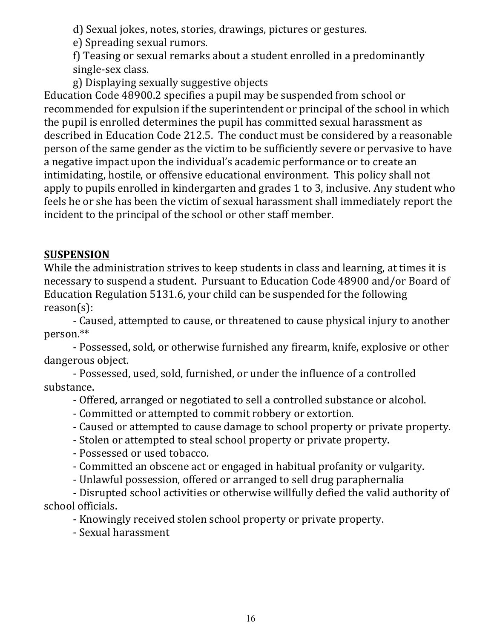d) Sexual jokes, notes, stories, drawings, pictures or gestures.

e) Spreading sexual rumors.

f) Teasing or sexual remarks about a student enrolled in a predominantly single-sex class.

g) Displaying sexually suggestive objects

Education Code 48900.2 specifies a pupil may be suspended from school or recommended for expulsion if the superintendent or principal of the school in which the pupil is enrolled determines the pupil has committed sexual harassment as described in Education Code 212.5. The conduct must be considered by a reasonable person of the same gender as the victim to be sufficiently severe or pervasive to have a negative impact upon the individual's academic performance or to create an intimidating, hostile, or offensive educational environment. This policy shall not apply to pupils enrolled in kindergarten and grades 1 to 3, inclusive. Any student who feels he or she has been the victim of sexual harassment shall immediately report the incident to the principal of the school or other staff member.

# **SUSPENSION**

While the administration strives to keep students in class and learning, at times it is necessary to suspend a student. Pursuant to Education Code 48900 and/or Board of Education Regulation 5131.6, your child can be suspended for the following reason(s):

- Caused, attempted to cause, or threatened to cause physical injury to another person.\*\*

- Possessed, sold, or otherwise furnished any firearm, knife, explosive or other dangerous object.

- Possessed, used, sold, furnished, or under the influence of a controlled substance.

- Offered, arranged or negotiated to sell a controlled substance or alcohol.

- Committed or attempted to commit robbery or extortion.
- Caused or attempted to cause damage to school property or private property.
- Stolen or attempted to steal school property or private property.

- Possessed or used tobacco.

- Committed an obscene act or engaged in habitual profanity or vulgarity.
- Unlawful possession, offered or arranged to sell drug paraphernalia

- Disrupted school activities or otherwise willfully defied the valid authority of school officials.

- Knowingly received stolen school property or private property.

- Sexual harassment